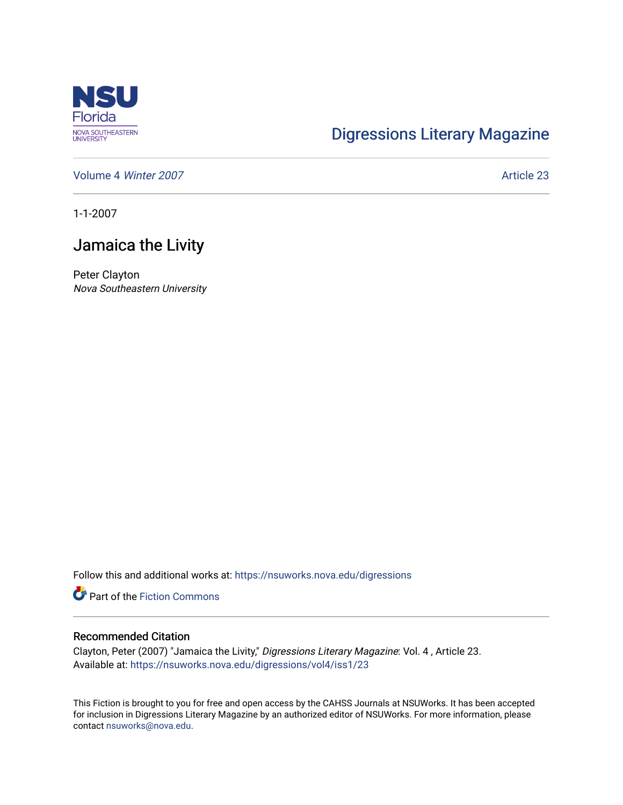

## [Digressions Literary Magazine](https://nsuworks.nova.edu/digressions)

[Volume 4](https://nsuworks.nova.edu/digressions/vol4) Winter 2007 **Article 23** 

1-1-2007

## Jamaica the Livity

Peter Clayton Nova Southeastern University

Follow this and additional works at: [https://nsuworks.nova.edu/digressions](https://nsuworks.nova.edu/digressions?utm_source=nsuworks.nova.edu%2Fdigressions%2Fvol4%2Fiss1%2F23&utm_medium=PDF&utm_campaign=PDFCoverPages) 

**Part of the Fiction Commons** 

## Recommended Citation

Clayton, Peter (2007) "Jamaica the Livity," Digressions Literary Magazine: Vol. 4 , Article 23. Available at: [https://nsuworks.nova.edu/digressions/vol4/iss1/23](https://nsuworks.nova.edu/digressions/vol4/iss1/23?utm_source=nsuworks.nova.edu%2Fdigressions%2Fvol4%2Fiss1%2F23&utm_medium=PDF&utm_campaign=PDFCoverPages) 

This Fiction is brought to you for free and open access by the CAHSS Journals at NSUWorks. It has been accepted for inclusion in Digressions Literary Magazine by an authorized editor of NSUWorks. For more information, please contact [nsuworks@nova.edu.](mailto:nsuworks@nova.edu)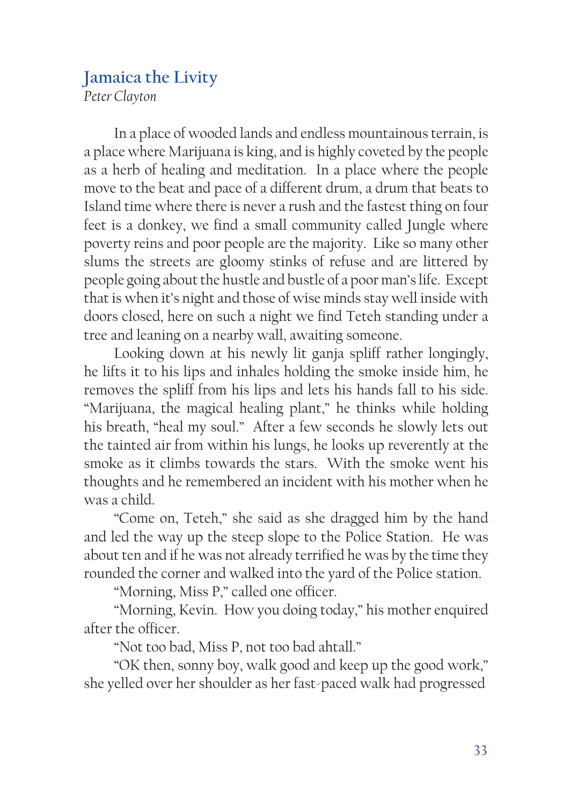## **Jamaica the Livity**

*Peter Clayton*

In a place of wooded lands and endless mountainous terrain, is a place where Marijuana is king, and is highly coveted by the people as a herb of healing and meditation. In a place where the people move to the beat and pace of a different drum, a drum that beats to Island time where there is never a rush and the fastest thing on four feet is a donkey, we find a small community called Jungle where poverty reins and poor people are the majority. Like so many other slums the streets are gloomy stinks of refuse and are littered by people going about the hustle and bustle of a poor man's life. Except that is when it's night and those of wise minds stay well inside with doors closed, here on such a night we find Teteh standing under a tree and leaning on a nearby wall, awaiting someone.

Looking down at his newly lit ganja spliff rather longingly, he lifts it to his lips and inhales holding the smoke inside him, he removes the spliff from his lips and lets his hands fall to his side. "Marijuana, the magical healing plant," he thinks while holding his breath, "heal my soul." After a few seconds he slowly lets out the tainted air from within his lungs, he looks up reverently at the smoke as it climbs towards the stars. With the smoke went his thoughts and he remembered an incident with his mother when he was a child.

"Come on, Teteh," she said as she dragged him by the hand and led the way up the steep slope to the Police Station. He was about ten and if he was not already terrified he was by the time they rounded the corner and walked into the yard of the Police station.

"Morning, Miss P," called one officer.

"Morning, Kevin. How you doing today," his mother enquired after the officer.

"Not too bad, Miss P, not too bad ahtall."

"OK then, sonny boy, walk good and keep up the good work," she yelled over her shoulder as her fast-paced walk had progressed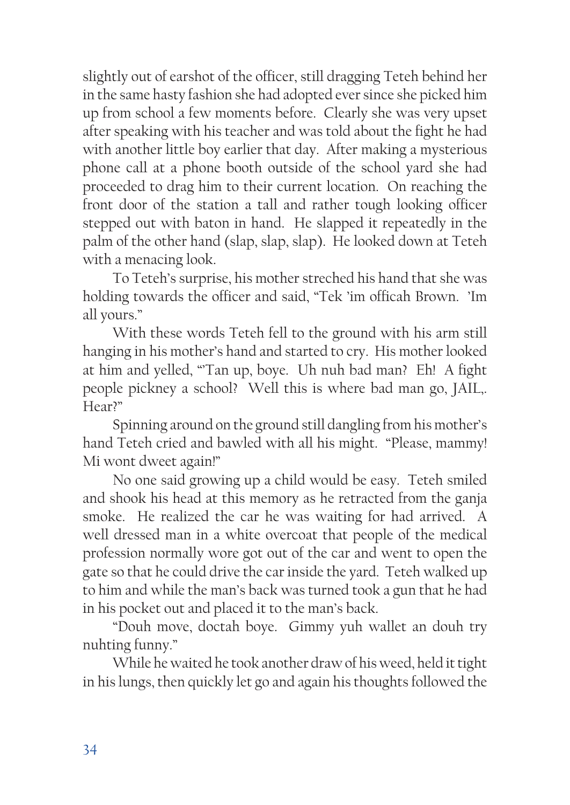slightly out of earshot of the officer, still dragging Teteh behind her in the same hasty fashion she had adopted ever since she picked him up from school a few moments before. Clearly she was very upset after speaking with his teacher and was told about the fight he had with another little boy earlier that day. After making a mysterious phone call at a phone booth outside of the school yard she had proceeded to drag him to their current location. On reaching the front door of the station a tall and rather tough looking officer stepped out with baton in hand. He slapped it repeatedly in the palm of the other hand (slap, slap, slap). He looked down at Teteh with a menacing look.

To Teteh's surprise, his mother streched his hand that she was holding towards the officer and said, "Tek 'im officah Brown. 'Im all yours."

With these words Teteh fell to the ground with his arm still hanging in his mother's hand and started to cry. His mother looked at him and yelled, "Tan up, boye. Uh nuh bad man? Eh! A fight people pickney a school? Well this is where bad man go, JAIL,. Hear?"

Spinning around on the ground still dangling from his mother's hand Teteh cried and bawled with all his might. "Please, mammy! Mi wont dweet again!"

No one said growing up a child would be easy. Teteh smiled and shook his head at this memory as he retracted from the ganja smoke. He realized the car he was waiting for had arrived. A well dressed man in a white overcoat that people of the medical profession normally wore got out of the car and went to open the gate so that he could drive the car inside the yard. Teteh walked up to him and while the man's back was turned took a gun that he had in his pocket out and placed it to the man's back.

"Douh move, doctah boye. Gimmy yuh wallet an douh try nuhting funny."

While he waited he took another draw of his weed, held it tight in his lungs, then quickly let go and again his thoughts followed the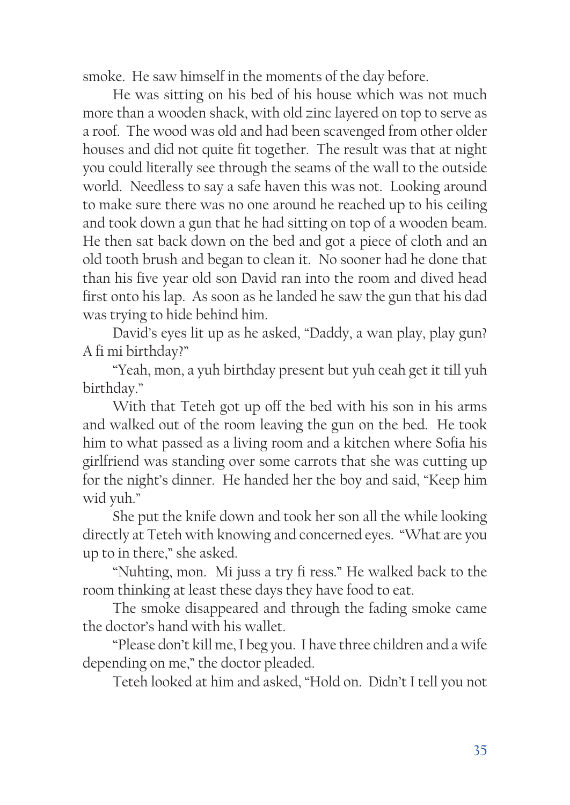smoke. He saw himself in the moments of the day before.

He was sitting on his bed of his house which was not much more than a wooden shack, with old zinc layered on top to serve as a roof. The wood was old and had been scavenged from other older houses and did not quite fit together. The result was that at night you could literally see through the seams of the wall to the outside world. Needless to say a safe haven this was not. Looking around to make sure there was no one around he reached up to his ceiling and took down a gun that he had sitting on top of a wooden beam. He then sat back down on the bed and got a piece of cloth and an old tooth brush and began to clean it. No sooner had he done that than his five year old son David ran into the room and dived head first onto his lap. As soon as he landed he saw the gun that his dad was trying to hide behind him.

David's eyes lit up as he asked, "Daddy, a wan play, play gun? A fi mi birthday?"

"Yeah, mon, a yuh birthday present but yuh ceah get it till yuh birthday."

With that Teteh got up off the bed with his son in his arms and walked out of the room leaving the gun on the bed. He took him to what passed as a living room and a kitchen where Sofia his girlfriend was standing over some carrots that she was cutting up for the night's dinner. He handed her the boy and said, "Keep him wid yuh."

She put the knife down and took her son all the while looking directly at Teteh with knowing and concerned eyes. "What are you up to in there," she asked.

"Nuhting, mon. Mi juss a try fi ress." He walked back to the room thinking at least these days they have food to eat.

The smoke disappeared and through the fading smoke came the doctor's hand with his wallet.

"Please don't kill me, I beg you. I have three children and a wife depending on me," the doctor pleaded.

Teteh looked at him and asked, "Hold on. Didn't I tell you not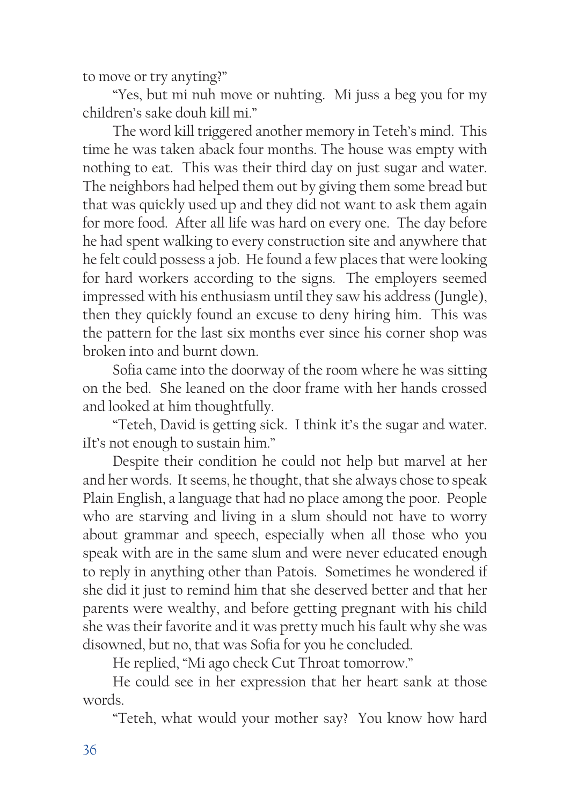to move or try anyting?"

"Yes, but mi nuh move or nuhting. Mi juss a beg you for my children's sake douh kill mi."

The word kill triggered another memory in Teteh's mind. This time he was taken aback four months. The house was empty with nothing to eat. This was their third day on just sugar and water. The neighbors had helped them out by giving them some bread but that was quickly used up and they did not want to ask them again for more food. After all life was hard on every one. The day before he had spent walking to every construction site and anywhere that he felt could possess a job. He found a few places that were looking for hard workers according to the signs. The employers seemed impressed with his enthusiasm until they saw his address (Jungle), then they quickly found an excuse to deny hiring him. This was the pattern for the last six months ever since his corner shop was broken into and burnt down.

Sofia came into the doorway of the room where he was sitting on the bed. She leaned on the door frame with her hands crossed and looked at him thoughtfully.

"Teteh, David is getting sick. I think it's the sugar and water. iIt's not enough to sustain him."

Despite their condition he could not help but marvel at her and her words. It seems, he thought, that she always chose to speak Plain English, a language that had no place among the poor. People who are starving and living in a slum should not have to worry about grammar and speech, especially when all those who you speak with are in the same slum and were never educated enough to reply in anything other than Patois. Sometimes he wondered if she did it just to remind him that she deserved better and that her parents were wealthy, and before getting pregnant with his child she was their favorite and it was pretty much his fault why she was disowned, but no, that was Sofia for you he concluded.

He replied, "Mi ago check Cut Throat tomorrow."

He could see in her expression that her heart sank at those words.

"Teteh, what would your mother say? You know how hard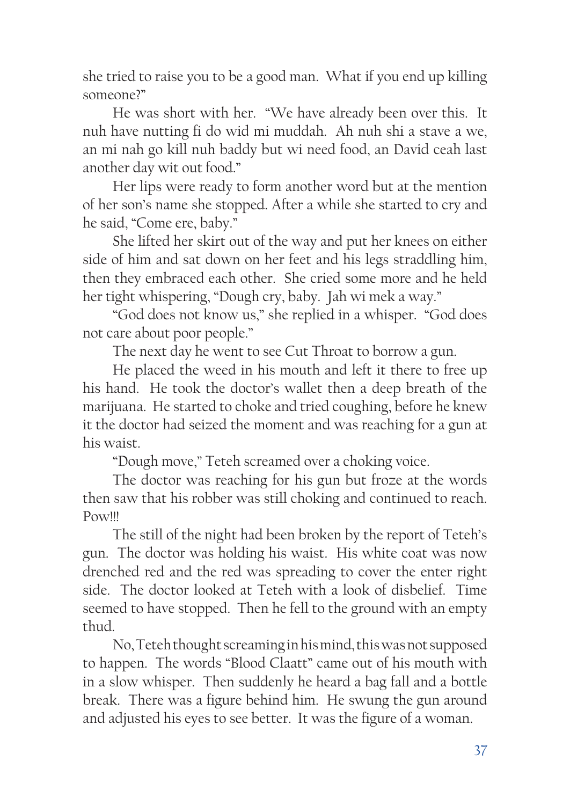she tried to raise you to be a good man. What if you end up killing someone?"

He was short with her. "We have already been over this. It nuh have nutting fi do wid mi muddah. Ah nuh shi a stave a we, an mi nah go kill nuh baddy but wi need food, an David ceah last another day wit out food."

Her lips were ready to form another word but at the mention of her son's name she stopped. After a while she started to cry and he said, "Come ere, baby."

She lifted her skirt out of the way and put her knees on either side of him and sat down on her feet and his legs straddling him, then they embraced each other. She cried some more and he held her tight whispering, "Dough cry, baby. Jah wi mek a way."

"God does not know us," she replied in a whisper. "God does not care about poor people."

The next day he went to see Cut Throat to borrow a gun.

He placed the weed in his mouth and left it there to free up his hand. He took the doctor's wallet then a deep breath of the marijuana. He started to choke and tried coughing, before he knew it the doctor had seized the moment and was reaching for a gun at his waist.

"Dough move," Teteh screamed over a choking voice.

The doctor was reaching for his gun but froze at the words then saw that his robber was still choking and continued to reach. Pow!!!

The still of the night had been broken by the report of Teteh's gun. The doctor was holding his waist. His white coat was now drenched red and the red was spreading to cover the enter right side. The doctor looked at Teteh with a look of disbelief. Time seemed to have stopped. Then he fell to the ground with an empty thud.

No, Teteh thought screaming in his mind, this was not supposed to happen. The words "Blood Claatt" came out of his mouth with in a slow whisper. Then suddenly he heard a bag fall and a bottle break. There was a figure behind him. He swung the gun around and adjusted his eyes to see better. It was the figure of a woman.